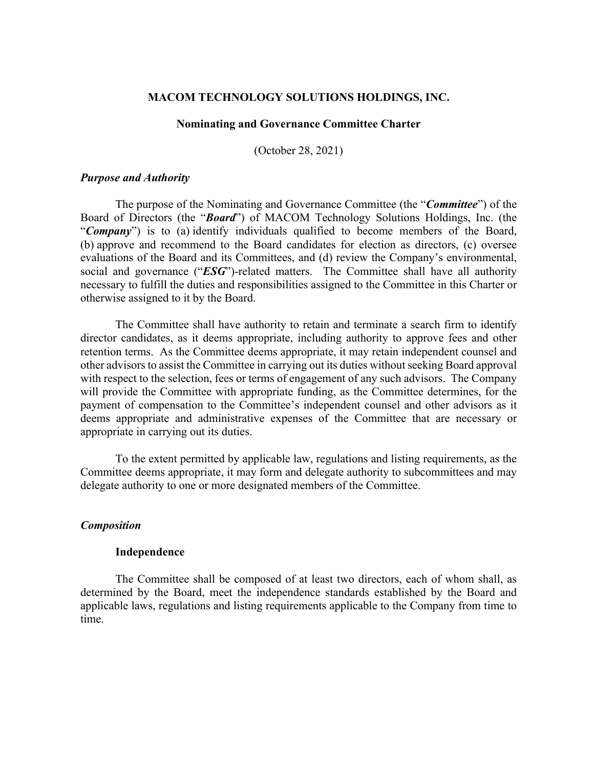#### **MACOM TECHNOLOGY SOLUTIONS HOLDINGS, INC.**

### **Nominating and Governance Committee Charter**

(October 28, 2021)

#### *Purpose and Authority*

The purpose of the Nominating and Governance Committee (the "*Committee*") of the Board of Directors (the "*Board*") of MACOM Technology Solutions Holdings, Inc. (the "*Company*") is to (a) identify individuals qualified to become members of the Board, (b) approve and recommend to the Board candidates for election as directors, (c) oversee evaluations of the Board and its Committees, and (d) review the Company's environmental, social and governance ("ESG")-related matters. The Committee shall have all authority necessary to fulfill the duties and responsibilities assigned to the Committee in this Charter or otherwise assigned to it by the Board.

The Committee shall have authority to retain and terminate a search firm to identify director candidates, as it deems appropriate, including authority to approve fees and other retention terms. As the Committee deems appropriate, it may retain independent counsel and other advisors to assist the Committee in carrying out its duties without seeking Board approval with respect to the selection, fees or terms of engagement of any such advisors. The Company will provide the Committee with appropriate funding, as the Committee determines, for the payment of compensation to the Committee's independent counsel and other advisors as it deems appropriate and administrative expenses of the Committee that are necessary or appropriate in carrying out its duties.

To the extent permitted by applicable law, regulations and listing requirements, as the Committee deems appropriate, it may form and delegate authority to subcommittees and may delegate authority to one or more designated members of the Committee.

### *Composition*

### **Independence**

The Committee shall be composed of at least two directors, each of whom shall, as determined by the Board, meet the independence standards established by the Board and applicable laws, regulations and listing requirements applicable to the Company from time to time.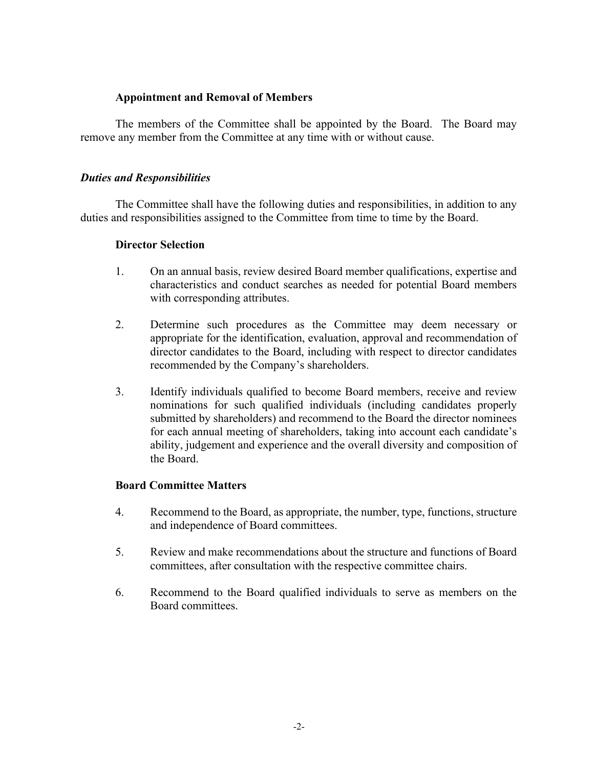## **Appointment and Removal of Members**

The members of the Committee shall be appointed by the Board. The Board may remove any member from the Committee at any time with or without cause.

## *Duties and Responsibilities*

The Committee shall have the following duties and responsibilities, in addition to any duties and responsibilities assigned to the Committee from time to time by the Board.

### **Director Selection**

- 1. On an annual basis, review desired Board member qualifications, expertise and characteristics and conduct searches as needed for potential Board members with corresponding attributes.
- 2. Determine such procedures as the Committee may deem necessary or appropriate for the identification, evaluation, approval and recommendation of director candidates to the Board, including with respect to director candidates recommended by the Company's shareholders.
- 3. Identify individuals qualified to become Board members, receive and review nominations for such qualified individuals (including candidates properly submitted by shareholders) and recommend to the Board the director nominees for each annual meeting of shareholders, taking into account each candidate's ability, judgement and experience and the overall diversity and composition of the Board.

### **Board Committee Matters**

- 4. Recommend to the Board, as appropriate, the number, type, functions, structure and independence of Board committees.
- 5. Review and make recommendations about the structure and functions of Board committees, after consultation with the respective committee chairs.
- 6. Recommend to the Board qualified individuals to serve as members on the Board committees.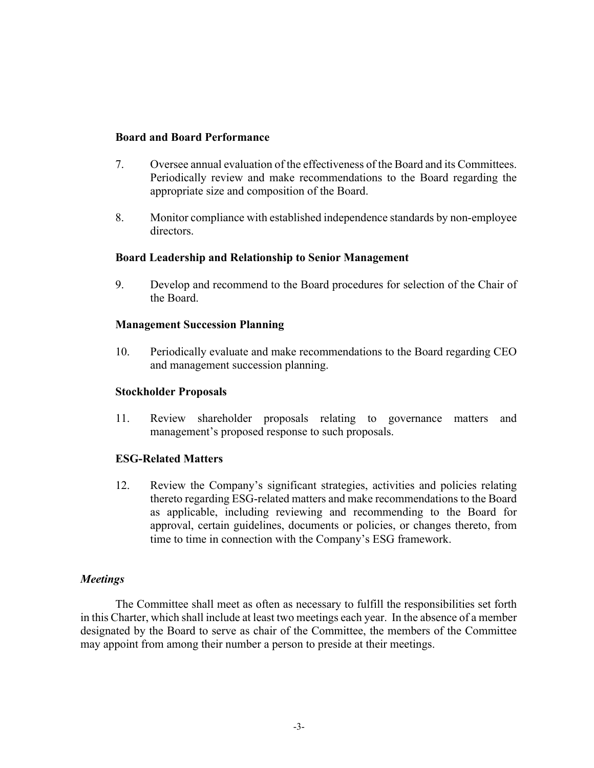## **Board and Board Performance**

- 7. Oversee annual evaluation of the effectiveness of the Board and its Committees. Periodically review and make recommendations to the Board regarding the appropriate size and composition of the Board.
- 8. Monitor compliance with established independence standards by non-employee directors.

### **Board Leadership and Relationship to Senior Management**

9. Develop and recommend to the Board procedures for selection of the Chair of the Board.

### **Management Succession Planning**

10. Periodically evaluate and make recommendations to the Board regarding CEO and management succession planning.

### **Stockholder Proposals**

11. Review shareholder proposals relating to governance matters and management's proposed response to such proposals.

## **ESG-Related Matters**

12. Review the Company's significant strategies, activities and policies relating thereto regarding ESG-related matters and make recommendations to the Board as applicable, including reviewing and recommending to the Board for approval, certain guidelines, documents or policies, or changes thereto, from time to time in connection with the Company's ESG framework.

## *Meetings*

The Committee shall meet as often as necessary to fulfill the responsibilities set forth in this Charter, which shall include at least two meetings each year. In the absence of a member designated by the Board to serve as chair of the Committee, the members of the Committee may appoint from among their number a person to preside at their meetings.